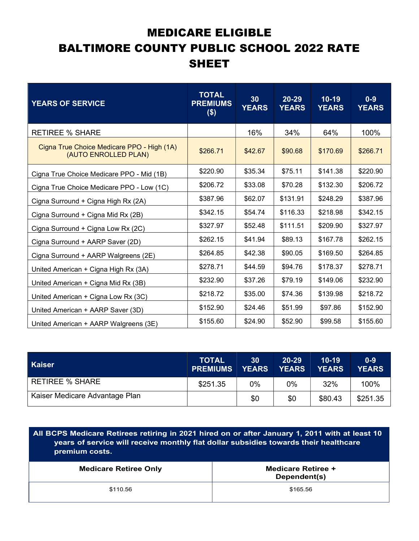## MEDICARE ELIGIBLE BALTIMORE COUNTY PUBLIC SCHOOL 2022 RATE SHEET

| <b>YEARS OF SERVICE</b>                                            | <b>TOTAL</b><br><b>PREMIUMS</b><br>$($ \$) | 30<br><b>YEARS</b> | $20 - 29$<br><b>YEARS</b> | $10 - 19$<br><b>YEARS</b> | $0-9$<br><b>YEARS</b> |
|--------------------------------------------------------------------|--------------------------------------------|--------------------|---------------------------|---------------------------|-----------------------|
| <b>RETIREE % SHARE</b>                                             |                                            | 16%                | 34%                       | 64%                       | 100%                  |
| Cigna True Choice Medicare PPO - High (1A)<br>(AUTO ENROLLED PLAN) | \$266.71                                   | \$42.67            | \$90.68                   | \$170.69                  | \$266.71              |
| Cigna True Choice Medicare PPO - Mid (1B)                          | \$220.90                                   | \$35.34            | \$75.11                   | \$141.38                  | \$220.90              |
| Cigna True Choice Medicare PPO - Low (1C)                          | \$206.72                                   | \$33.08            | \$70.28                   | \$132.30                  | \$206.72              |
| Cigna Surround + Cigna High Rx (2A)                                | \$387.96                                   | \$62.07            | \$131.91                  | \$248.29                  | \$387.96              |
| Cigna Surround + Cigna Mid Rx (2B)                                 | \$342.15                                   | \$54.74            | \$116.33                  | \$218.98                  | \$342.15              |
| Cigna Surround + Cigna Low Rx (2C)                                 | \$327.97                                   | \$52.48            | \$111.51                  | \$209.90                  | \$327.97              |
| Cigna Surround + AARP Saver (2D)                                   | \$262.15                                   | \$41.94            | \$89.13                   | \$167.78                  | \$262.15              |
| Cigna Surround + AARP Walgreens (2E)                               | \$264.85                                   | \$42.38            | \$90.05                   | \$169.50                  | \$264.85              |
| United American + Cigna High Rx (3A)                               | \$278.71                                   | \$44.59            | \$94.76                   | \$178.37                  | \$278.71              |
| United American + Cigna Mid Rx (3B)                                | \$232.90                                   | \$37.26            | \$79.19                   | \$149.06                  | \$232.90              |
| United American + Cigna Low Rx (3C)                                | \$218.72                                   | \$35.00            | \$74.36                   | \$139.98                  | \$218.72              |
| United American + AARP Saver (3D)                                  | \$152.90                                   | \$24.46            | \$51.99                   | \$97.86                   | \$152.90              |
| United American + AARP Walgreens (3E)                              | \$155.60                                   | \$24.90            | \$52.90                   | \$99.58                   | \$155.60              |

| <b>Kaiser</b>                  | <b>TOTAL</b><br><b>PREMIUMS</b> | 30<br><b>YEARS</b> | $20 - 29$<br><b>YEARS</b> | $10 - 19$<br><b>YEARS</b> | $0 - 9$<br><b>YEARS</b> |
|--------------------------------|---------------------------------|--------------------|---------------------------|---------------------------|-------------------------|
| <b>RETIREE % SHARE</b>         | \$251.35                        | 0%                 | 0%                        | 32%                       | 100%                    |
| Kaiser Medicare Advantage Plan |                                 | \$0                | \$0                       | \$80.43                   | \$251.35                |

All BCPS Medicare Retirees retiring in 2021 hired on or after January 1, 2011 with at least 10 years of service will receive monthly flat dollar subsidies towards their healthcare premium costs.

| <b>Medicare Retiree Only</b> | Medicare Retiree +<br>Dependent(s) |  |  |  |
|------------------------------|------------------------------------|--|--|--|
| \$110.56                     | \$165.56                           |  |  |  |